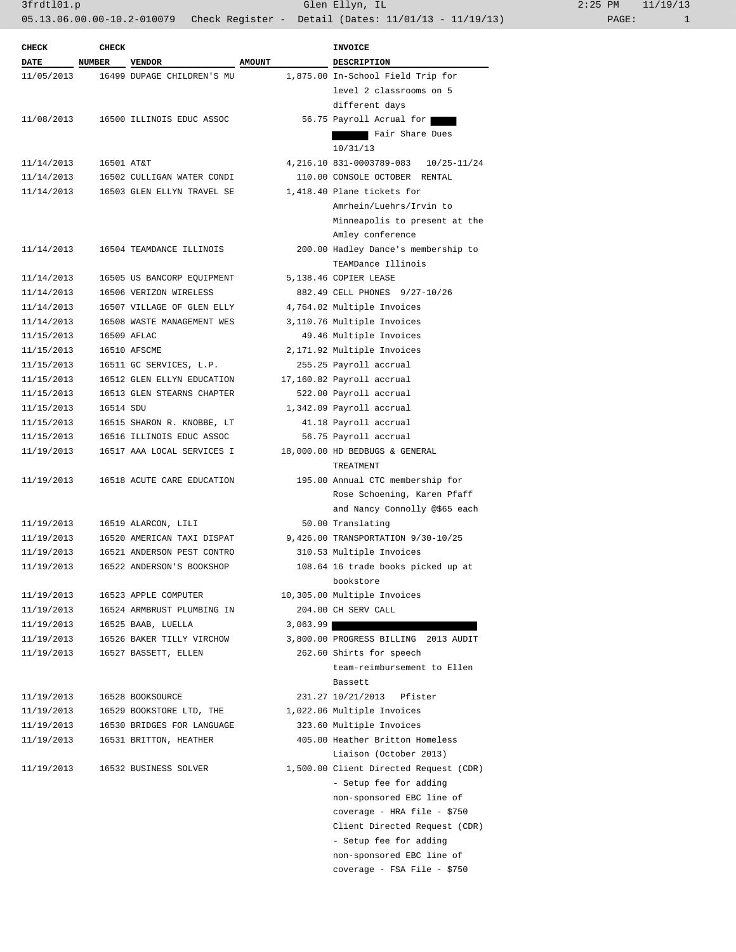3frdtl01.p Glen Ellyn, IL 2:25 PM 11/19/13 05.13.06.00.00-10.2-010079 Check Register - Detail (Dates: 11/01/13 - 11/19/13) PAGE: 1

| <b>CHECK</b> | <b>CHECK</b>  |                                                      |               | <b>INVOICE</b>                         |
|--------------|---------------|------------------------------------------------------|---------------|----------------------------------------|
| <b>DATE</b>  | <b>NUMBER</b> | <b>VENDOR</b>                                        | <b>AMOUNT</b> | <b>DESCRIPTION</b>                     |
| 11/05/2013   |               | 16499 DUPAGE CHILDREN'S MU                           |               | 1,875.00 In-School Field Trip for      |
|              |               |                                                      |               | level 2 classrooms on 5                |
|              |               |                                                      |               | different days                         |
| 11/08/2013   |               | 16500 ILLINOIS EDUC ASSOC                            |               | 56.75 Payroll Acrual for               |
|              |               |                                                      |               | Fair Share Dues                        |
|              |               |                                                      |               | 10/31/13                               |
| 11/14/2013   | 16501 AT&T    |                                                      |               | 4, 216.10 831-0003789-083 10/25-11/24  |
| 11/14/2013   |               | 16502 CULLIGAN WATER CONDI                           |               | 110.00 CONSOLE OCTOBER RENTAL          |
| 11/14/2013   |               | 16503 GLEN ELLYN TRAVEL SE                           |               | 1,418.40 Plane tickets for             |
|              |               |                                                      |               | Amrhein/Luehrs/Irvin to                |
|              |               |                                                      |               | Minneapolis to present at the          |
|              |               |                                                      |               | Amley conference                       |
| 11/14/2013   |               | 16504 TEAMDANCE ILLINOIS                             |               | 200.00 Hadley Dance's membership to    |
|              |               |                                                      |               | TEAMDance Illinois                     |
|              |               |                                                      |               | 5,138.46 COPIER LEASE                  |
| 11/14/2013   |               | 16505 US BANCORP EQUIPMENT<br>16506 VERIZON WIRELESS |               | 882.49 CELL PHONES 9/27-10/26          |
| 11/14/2013   |               |                                                      |               |                                        |
| 11/14/2013   |               | 16507 VILLAGE OF GLEN ELLY                           |               | 4,764.02 Multiple Invoices             |
| 11/14/2013   |               | 16508 WASTE MANAGEMENT WES                           |               | 3,110.76 Multiple Invoices             |
| 11/15/2013   |               | 16509 AFLAC                                          |               | 49.46 Multiple Invoices                |
| 11/15/2013   |               | 16510 AFSCME                                         |               | 2,171.92 Multiple Invoices             |
| 11/15/2013   |               | 16511 GC SERVICES, L.P.                              |               | 255.25 Payroll accrual                 |
| 11/15/2013   |               | 16512 GLEN ELLYN EDUCATION                           |               | 17,160.82 Payroll accrual              |
| 11/15/2013   |               | 16513 GLEN STEARNS CHAPTER                           |               | 522.00 Payroll accrual                 |
| 11/15/2013   | 16514 SDU     |                                                      |               | 1,342.09 Payroll accrual               |
| 11/15/2013   |               | 16515 SHARON R. KNOBBE, LT                           |               | 41.18 Payroll accrual                  |
| 11/15/2013   |               | 16516 ILLINOIS EDUC ASSOC                            |               | 56.75 Payroll accrual                  |
| 11/19/2013   |               | 16517 AAA LOCAL SERVICES I                           |               | 18,000.00 HD BEDBUGS & GENERAL         |
|              |               |                                                      |               | TREATMENT                              |
| 11/19/2013   |               | 16518 ACUTE CARE EDUCATION                           |               | 195.00 Annual CTC membership for       |
|              |               |                                                      |               | Rose Schoening, Karen Pfaff            |
|              |               |                                                      |               | and Nancy Connolly @\$65 each          |
| 11/19/2013   |               | 16519 ALARCON, LILI                                  |               | 50.00 Translating                      |
| 11/19/2013   |               | 16520 AMERICAN TAXI DISPAT                           |               | 9,426.00 TRANSPORTATION 9/30-10/25     |
| 11/19/2013   |               | 16521 ANDERSON PEST CONTRO                           |               | 310.53 Multiple Invoices               |
| 11/19/2013   |               | 16522 ANDERSON'S BOOKSHOP                            |               | 108.64 16 trade books picked up at     |
|              |               |                                                      |               | bookstore                              |
| 11/19/2013   |               | 16523 APPLE COMPUTER                                 |               | 10,305.00 Multiple Invoices            |
| 11/19/2013   |               | 16524 ARMBRUST PLUMBING IN                           |               | 204.00 CH SERV CALL                    |
| 11/19/2013   |               | 16525 BAAB, LUELLA                                   | 3,063.99      |                                        |
| 11/19/2013   |               | 16526 BAKER TILLY VIRCHOW                            |               | 3,800.00 PROGRESS BILLING 2013 AUDIT   |
| 11/19/2013   |               | 16527 BASSETT, ELLEN                                 |               | 262.60 Shirts for speech               |
|              |               |                                                      |               | team-reimbursement to Ellen            |
|              |               |                                                      |               | Bassett                                |
| 11/19/2013   |               | 16528 BOOKSOURCE                                     |               | 231.27 10/21/2013 Pfister              |
| 11/19/2013   |               | 16529 BOOKSTORE LTD, THE                             |               | 1,022.06 Multiple Invoices             |
| 11/19/2013   |               | 16530 BRIDGES FOR LANGUAGE                           |               | 323.60 Multiple Invoices               |
|              |               |                                                      |               | 405.00 Heather Britton Homeless        |
| 11/19/2013   |               | 16531 BRITTON, HEATHER                               |               |                                        |
|              |               |                                                      |               | Liaison (October 2013)                 |
| 11/19/2013   |               | 16532 BUSINESS SOLVER                                |               | 1,500.00 Client Directed Request (CDR) |
|              |               |                                                      |               | - Setup fee for adding                 |
|              |               |                                                      |               | non-sponsored EBC line of              |
|              |               |                                                      |               | coverage - HRA file - \$750            |
|              |               |                                                      |               | Client Directed Request (CDR)          |
|              |               |                                                      |               | - Setup fee for adding                 |
|              |               |                                                      |               | non-sponsored EBC line of              |
|              |               |                                                      |               | coverage - FSA File - \$750            |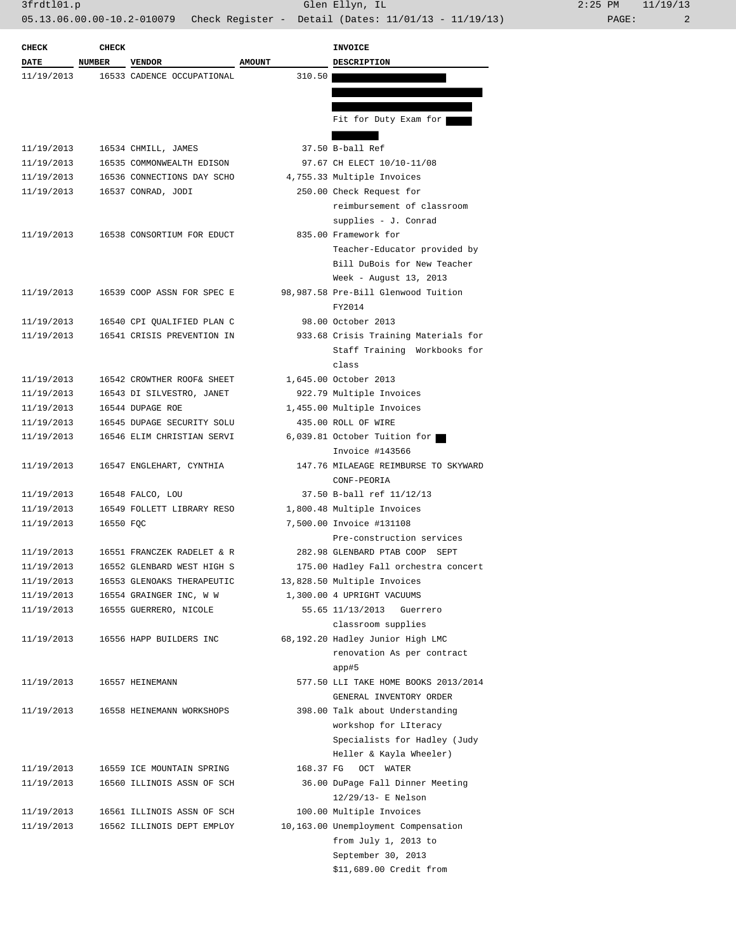3frdtl01.p Glen Ellyn, IL 2:25 PM 11/19/13 05.13.06.00.00-10.2-010079 Check Register - Detail (Dates: 11/01/13 - 11/19/13) PAGE: 2

| <b>CHECK</b> | <b>CHECK</b>  |                            |               | <b>INVOICE</b>                       |
|--------------|---------------|----------------------------|---------------|--------------------------------------|
| DATE         | <b>NUMBER</b> | <b>VENDOR</b>              | <b>AMOUNT</b> | <b>DESCRIPTION</b>                   |
| 11/19/2013   |               | 16533 CADENCE OCCUPATIONAL | 310.50        |                                      |
|              |               |                            |               |                                      |
|              |               |                            |               |                                      |
|              |               |                            |               | Fit for Duty Exam for                |
|              |               |                            |               |                                      |
| 11/19/2013   |               | 16534 CHMILL, JAMES        |               | 37.50 B-ball Ref                     |
| 11/19/2013   |               | 16535 COMMONWEALTH EDISON  |               | 97.67 CH ELECT 10/10-11/08           |
| 11/19/2013   |               | 16536 CONNECTIONS DAY SCHO |               | 4,755.33 Multiple Invoices           |
| 11/19/2013   |               | 16537 CONRAD, JODI         |               | 250.00 Check Request for             |
|              |               |                            |               | reimbursement of classroom           |
|              |               |                            |               | supplies - J. Conrad                 |
| 11/19/2013   |               | 16538 CONSORTIUM FOR EDUCT |               | 835.00 Framework for                 |
|              |               |                            |               | Teacher-Educator provided by         |
|              |               |                            |               | Bill DuBois for New Teacher          |
|              |               |                            |               | Week - August 13, 2013               |
| 11/19/2013   |               | 16539 COOP ASSN FOR SPEC E |               | 98,987.58 Pre-Bill Glenwood Tuition  |
|              |               |                            |               | FY2014                               |
|              |               |                            |               |                                      |
| 11/19/2013   |               | 16540 CPI OUALIFIED PLAN C |               | 98.00 October 2013                   |
| 11/19/2013   |               | 16541 CRISIS PREVENTION IN |               | 933.68 Crisis Training Materials for |
|              |               |                            |               | Staff Training Workbooks for         |
|              |               |                            |               | class                                |
| 11/19/2013   |               | 16542 CROWTHER ROOF& SHEET |               | 1,645.00 October 2013                |
| 11/19/2013   |               | 16543 DI SILVESTRO, JANET  |               | 922.79 Multiple Invoices             |
| 11/19/2013   |               | 16544 DUPAGE ROE           |               | 1,455.00 Multiple Invoices           |
| 11/19/2013   |               | 16545 DUPAGE SECURITY SOLU |               | 435.00 ROLL OF WIRE                  |
| 11/19/2013   |               | 16546 ELIM CHRISTIAN SERVI |               | 6,039.81 October Tuition for         |
|              |               |                            |               | Invoice #143566                      |
| 11/19/2013   |               | 16547 ENGLEHART, CYNTHIA   |               | 147.76 MILAEAGE REIMBURSE TO SKYWARD |
|              |               |                            |               | CONF-PEORIA                          |
| 11/19/2013   |               | 16548 FALCO, LOU           |               | 37.50 B-ball ref 11/12/13            |
| 11/19/2013   |               | 16549 FOLLETT LIBRARY RESO |               | 1,800.48 Multiple Invoices           |
| 11/19/2013   | 16550 FQC     |                            |               | 7,500.00 Invoice #131108             |
|              |               |                            |               | Pre-construction services            |
| 11/19/2013   |               | 16551 FRANCZEK RADELET & R |               | 282.98 GLENBARD PTAB COOP SEPT       |
| 11/19/2013   |               | 16552 GLENBARD WEST HIGH S |               | 175.00 Hadley Fall orchestra concert |
| 11/19/2013   |               | 16553 GLENOAKS THERAPEUTIC |               | 13,828.50 Multiple Invoices          |
| 11/19/2013   |               | 16554 GRAINGER INC, W W    |               | 1,300.00 4 UPRIGHT VACUUMS           |
| 11/19/2013   |               | 16555 GUERRERO, NICOLE     |               | 55.65 11/13/2013<br>Guerrero         |
|              |               |                            |               | classroom supplies                   |
| 11/19/2013   |               | 16556 HAPP BUILDERS INC    |               | 68,192.20 Hadley Junior High LMC     |
|              |               |                            |               | renovation As per contract           |
|              |               |                            |               | app#5                                |
| 11/19/2013   |               | 16557 HEINEMANN            |               | 577.50 LLI TAKE HOME BOOKS 2013/2014 |
|              |               |                            |               | GENERAL INVENTORY ORDER              |
| 11/19/2013   |               | 16558 HEINEMANN WORKSHOPS  |               | 398.00 Talk about Understanding      |
|              |               |                            |               | workshop for LIteracy                |
|              |               |                            |               |                                      |
|              |               |                            |               | Specialists for Hadley (Judy         |
|              |               |                            |               | Heller & Kayla Wheeler)              |
| 11/19/2013   |               | 16559 ICE MOUNTAIN SPRING  | 168.37 FG     | OCT WATER                            |
| 11/19/2013   |               | 16560 ILLINOIS ASSN OF SCH |               | 36.00 DuPage Fall Dinner Meeting     |
|              |               |                            |               | 12/29/13- E Nelson                   |
| 11/19/2013   |               | 16561 ILLINOIS ASSN OF SCH |               | 100.00 Multiple Invoices             |
| 11/19/2013   |               | 16562 ILLINOIS DEPT EMPLOY |               | 10,163.00 Unemployment Compensation  |
|              |               |                            |               | from July 1, 2013 to                 |
|              |               |                            |               | September 30, 2013                   |
|              |               |                            |               | \$11,689.00 Credit from              |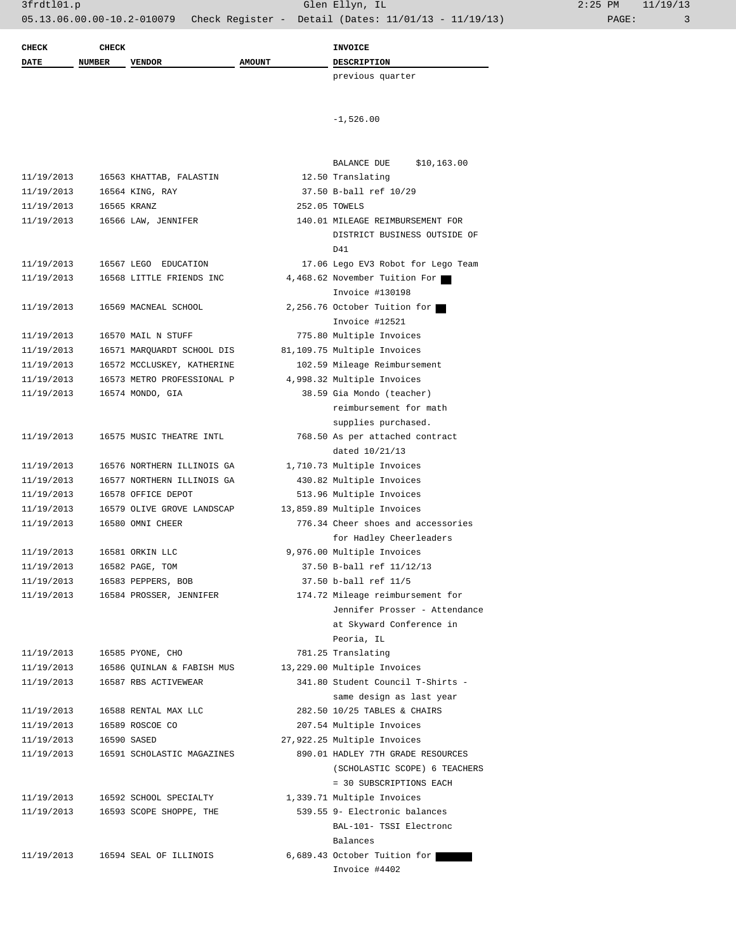| <b>CHECK</b>             | <b>CHECK</b>  |                            |               | <b>INVOICE</b>                                                      |  |
|--------------------------|---------------|----------------------------|---------------|---------------------------------------------------------------------|--|
| <b>DATE</b>              | <b>NUMBER</b> | <b>VENDOR</b>              | <b>AMOUNT</b> | <b>DESCRIPTION</b>                                                  |  |
|                          |               |                            |               | previous quarter                                                    |  |
|                          |               |                            |               |                                                                     |  |
|                          |               |                            |               |                                                                     |  |
|                          |               |                            |               | $-1,526.00$                                                         |  |
|                          |               |                            |               |                                                                     |  |
|                          |               |                            |               | \$10,163.00<br>BALANCE DUE                                          |  |
| 11/19/2013               |               | 16563 KHATTAB, FALASTIN    |               | 12.50 Translating                                                   |  |
| 11/19/2013               |               | 16564 KING, RAY            |               | 37.50 B-ball ref 10/29                                              |  |
| 11/19/2013               |               | 16565 KRANZ                |               | 252.05 TOWELS                                                       |  |
| 11/19/2013               |               | 16566 LAW, JENNIFER        |               | 140.01 MILEAGE REIMBURSEMENT FOR                                    |  |
|                          |               |                            |               | DISTRICT BUSINESS OUTSIDE OF                                        |  |
| 11/19/2013               |               | 16567 LEGO EDUCATION       |               | D41                                                                 |  |
| 11/19/2013               |               | 16568 LITTLE FRIENDS INC   |               | 17.06 Lego EV3 Robot for Lego Team<br>4,468.62 November Tuition For |  |
|                          |               |                            |               | Invoice #130198                                                     |  |
| 11/19/2013               |               | 16569 MACNEAL SCHOOL       |               | 2,256.76 October Tuition for                                        |  |
|                          |               |                            |               | Invoice #12521                                                      |  |
| 11/19/2013               |               | 16570 MAIL N STUFF         |               | 775.80 Multiple Invoices                                            |  |
| 11/19/2013               |               | 16571 MARQUARDT SCHOOL DIS |               | 81,109.75 Multiple Invoices                                         |  |
| 11/19/2013               |               | 16572 MCCLUSKEY, KATHERINE |               | 102.59 Mileage Reimbursement                                        |  |
| 11/19/2013               |               | 16573 METRO PROFESSIONAL P |               | 4,998.32 Multiple Invoices                                          |  |
| 11/19/2013               |               | 16574 MONDO, GIA           |               | 38.59 Gia Mondo (teacher)                                           |  |
|                          |               |                            |               | reimbursement for math                                              |  |
|                          |               |                            |               | supplies purchased.                                                 |  |
| 11/19/2013               |               | 16575 MUSIC THEATRE INTL   |               | 768.50 As per attached contract                                     |  |
|                          |               |                            |               | dated 10/21/13                                                      |  |
| 11/19/2013               |               | 16576 NORTHERN ILLINOIS GA |               | 1,710.73 Multiple Invoices                                          |  |
| 11/19/2013               |               | 16577 NORTHERN ILLINOIS GA |               | 430.82 Multiple Invoices                                            |  |
| 11/19/2013               |               | 16578 OFFICE DEPOT         |               | 513.96 Multiple Invoices                                            |  |
| 11/19/2013               |               | 16579 OLIVE GROVE LANDSCAP |               | 13,859.89 Multiple Invoices                                         |  |
| 11/19/2013               |               | 16580 OMNI CHEER           |               | 776.34 Cheer shoes and accessories                                  |  |
|                          |               |                            |               | for Hadley Cheerleaders                                             |  |
| 11/19/2013               |               | 16581 ORKIN LLC            |               | 9,976.00 Multiple Invoices                                          |  |
| 11/19/2013               |               | 16582 PAGE, TOM            |               | 37.50 B-ball ref 11/12/13                                           |  |
| 11/19/2013<br>11/19/2013 |               | 16583 PEPPERS, BOB         |               | 37.50 b-ball ref 11/5                                               |  |
|                          |               | 16584 PROSSER, JENNIFER    |               | 174.72 Mileage reimbursement for<br>Jennifer Prosser - Attendance   |  |
|                          |               |                            |               | at Skyward Conference in                                            |  |
|                          |               |                            |               | Peoria, IL                                                          |  |
| 11/19/2013               |               | 16585 PYONE, CHO           |               | 781.25 Translating                                                  |  |
| 11/19/2013               |               | 16586 QUINLAN & FABISH MUS |               | 13,229.00 Multiple Invoices                                         |  |
| 11/19/2013               |               | 16587 RBS ACTIVEWEAR       |               | 341.80 Student Council T-Shirts -                                   |  |
|                          |               |                            |               | same design as last year                                            |  |
| 11/19/2013               |               | 16588 RENTAL MAX LLC       |               | 282.50 10/25 TABLES & CHAIRS                                        |  |
| 11/19/2013               |               | 16589 ROSCOE CO            |               | 207.54 Multiple Invoices                                            |  |
| 11/19/2013               |               | 16590 SASED                |               | 27,922.25 Multiple Invoices                                         |  |
| 11/19/2013               |               | 16591 SCHOLASTIC MAGAZINES |               | 890.01 HADLEY 7TH GRADE RESOURCES                                   |  |
|                          |               |                            |               | (SCHOLASTIC SCOPE) 6 TEACHERS                                       |  |
|                          |               |                            |               | = 30 SUBSCRIPTIONS EACH                                             |  |
| 11/19/2013               |               | 16592 SCHOOL SPECIALTY     |               | 1,339.71 Multiple Invoices                                          |  |
| 11/19/2013               |               | 16593 SCOPE SHOPPE, THE    |               | 539.55 9- Electronic balances                                       |  |
|                          |               |                            |               | BAL-101- TSSI Electronc                                             |  |
|                          |               |                            |               | Balances                                                            |  |
| 11/19/2013               |               | 16594 SEAL OF ILLINOIS     |               | 6,689.43 October Tuition for                                        |  |
|                          |               |                            |               | Invoice #4402                                                       |  |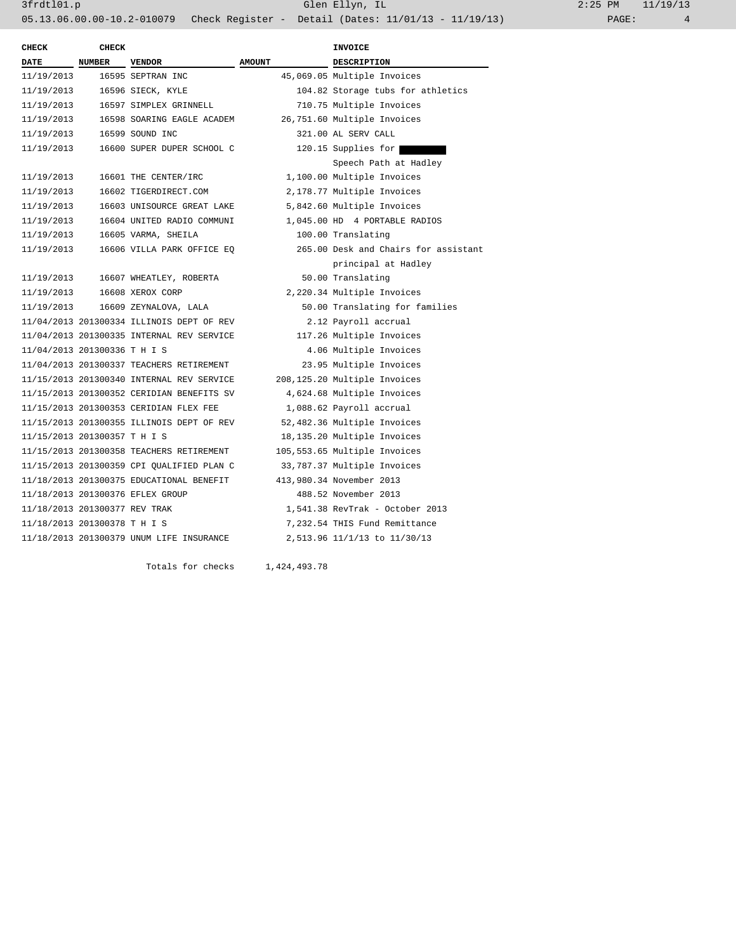| <b>CHECK</b>                  | <b>CHECK</b>  |                                           |               | <b>INVOICE</b>                       |
|-------------------------------|---------------|-------------------------------------------|---------------|--------------------------------------|
| DATE                          | <b>NUMBER</b> | <b>VENDOR</b>                             | <b>AMOUNT</b> | <b>DESCRIPTION</b>                   |
| 11/19/2013                    |               | 16595 SEPTRAN INC                         |               | 45,069.05 Multiple Invoices          |
| 11/19/2013                    |               | 16596 SIECK, KYLE                         |               | 104.82 Storage tubs for athletics    |
| 11/19/2013                    |               | 16597 SIMPLEX GRINNELL                    |               | 710.75 Multiple Invoices             |
| 11/19/2013                    |               | 16598 SOARING EAGLE ACADEM                |               | 26,751.60 Multiple Invoices          |
| 11/19/2013                    |               | 16599 SOUND INC                           |               | 321.00 AL SERV CALL                  |
| 11/19/2013                    |               | 16600 SUPER DUPER SCHOOL C                |               | 120.15 Supplies for                  |
|                               |               |                                           |               | Speech Path at Hadley                |
| 11/19/2013                    |               | 16601 THE CENTER/IRC                      |               | 1,100.00 Multiple Invoices           |
| 11/19/2013                    |               | 16602 TIGERDIRECT.COM                     |               | 2,178.77 Multiple Invoices           |
| 11/19/2013                    |               | 16603 UNISOURCE GREAT LAKE                |               | 5,842.60 Multiple Invoices           |
| 11/19/2013                    |               | 16604 UNITED RADIO COMMUNI                |               | 1,045.00 HD 4 PORTABLE RADIOS        |
| 11/19/2013                    |               | 16605 VARMA, SHEILA                       |               | 100.00 Translating                   |
| 11/19/2013                    |               | 16606 VILLA PARK OFFICE EO                |               | 265.00 Desk and Chairs for assistant |
|                               |               |                                           |               | principal at Hadley                  |
| 11/19/2013                    |               | 16607 WHEATLEY, ROBERTA                   |               | 50.00 Translating                    |
| 11/19/2013                    |               | 16608 XEROX CORP                          |               | 2,220.34 Multiple Invoices           |
| 11/19/2013                    |               | 16609 ZEYNALOVA, LALA                     |               | 50.00 Translating for families       |
|                               |               | 11/04/2013 201300334 ILLINOIS DEPT OF REV |               | 2.12 Payroll accrual                 |
|                               |               | 11/04/2013 201300335 INTERNAL REV SERVICE |               | 117.26 Multiple Invoices             |
| 11/04/2013 201300336 T H I S  |               |                                           |               | 4.06 Multiple Invoices               |
|                               |               | 11/04/2013 201300337 TEACHERS RETIREMENT  |               | 23.95 Multiple Invoices              |
|                               |               | 11/15/2013 201300340 INTERNAL REV SERVICE |               | 208,125.20 Multiple Invoices         |
|                               |               | 11/15/2013 201300352 CERIDIAN BENEFITS SV |               | 4,624.68 Multiple Invoices           |
|                               |               | 11/15/2013 201300353 CERIDIAN FLEX FEE    |               | 1,088.62 Payroll accrual             |
|                               |               | 11/15/2013 201300355 ILLINOIS DEPT OF REV |               | 52,482.36 Multiple Invoices          |
| 11/15/2013 201300357 T H I S  |               |                                           |               | 18,135.20 Multiple Invoices          |
|                               |               | 11/15/2013 201300358 TEACHERS RETIREMENT  |               | 105,553.65 Multiple Invoices         |
|                               |               | 11/15/2013 201300359 CPI QUALIFIED PLAN C |               | 33,787.37 Multiple Invoices          |
|                               |               | 11/18/2013 201300375 EDUCATIONAL BENEFIT  |               | 413,980.34 November 2013             |
|                               |               | 11/18/2013 201300376 EFLEX GROUP          |               | 488.52 November 2013                 |
| 11/18/2013 201300377 REV TRAK |               |                                           |               | 1,541.38 RevTrak - October 2013      |
| 11/18/2013 201300378 T H I S  |               |                                           |               | 7,232.54 THIS Fund Remittance        |
|                               |               | 11/18/2013 201300379 UNUM LIFE INSURANCE  |               | 2,513.96 11/1/13 to 11/30/13         |
|                               |               |                                           |               |                                      |

Totals for checks 1,424,493.78